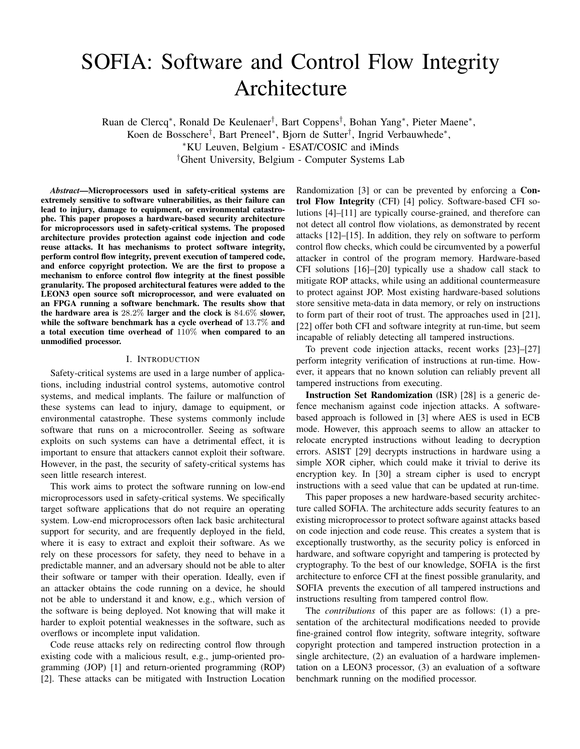# SOFIA: Software and Control Flow Integrity Architecture

Ruan de Clercq<sup>∗</sup> , Ronald De Keulenaer† , Bart Coppens† , Bohan Yang<sup>∗</sup> , Pieter Maene<sup>∗</sup> , Koen de Bosschere† , Bart Preneel<sup>∗</sup> , Bjorn de Sutter† , Ingrid Verbauwhede<sup>∗</sup> , <sup>∗</sup>KU Leuven, Belgium - ESAT/COSIC and iMinds †Ghent University, Belgium - Computer Systems Lab

*Abstract*—Microprocessors used in safety-critical systems are extremely sensitive to software vulnerabilities, as their failure can lead to injury, damage to equipment, or environmental catastrophe. This paper proposes a hardware-based security architecture for microprocessors used in safety-critical systems. The proposed architecture provides protection against code injection and code reuse attacks. It has mechanisms to protect software integrity, perform control flow integrity, prevent execution of tampered code, and enforce copyright protection. We are the first to propose a mechanism to enforce control flow integrity at the finest possible granularity. The proposed architectural features were added to the LEON3 open source soft microprocessor, and were evaluated on an FPGA running a software benchmark. The results show that the hardware area is 28.2% larger and the clock is 84.6% slower, while the software benchmark has a cycle overhead of 13.7% and a total execution time overhead of 110% when compared to an unmodified processor.

### I. INTRODUCTION

Safety-critical systems are used in a large number of applications, including industrial control systems, automotive control systems, and medical implants. The failure or malfunction of these systems can lead to injury, damage to equipment, or environmental catastrophe. These systems commonly include software that runs on a microcontroller. Seeing as software exploits on such systems can have a detrimental effect, it is important to ensure that attackers cannot exploit their software. However, in the past, the security of safety-critical systems has seen little research interest.

This work aims to protect the software running on low-end microprocessors used in safety-critical systems. We specifically target software applications that do not require an operating system. Low-end microprocessors often lack basic architectural support for security, and are frequently deployed in the field, where it is easy to extract and exploit their software. As we rely on these processors for safety, they need to behave in a predictable manner, and an adversary should not be able to alter their software or tamper with their operation. Ideally, even if an attacker obtains the code running on a device, he should not be able to understand it and know, e.g., which version of the software is being deployed. Not knowing that will make it harder to exploit potential weaknesses in the software, such as overflows or incomplete input validation.

Code reuse attacks rely on redirecting control flow through existing code with a malicious result, e.g., jump-oriented programming (JOP) [1] and return-oriented programming (ROP) [2]. These attacks can be mitigated with Instruction Location

Randomization [3] or can be prevented by enforcing a Control Flow Integrity (CFI) [4] policy. Software-based CFI solutions [4]–[11] are typically course-grained, and therefore can not detect all control flow violations, as demonstrated by recent attacks [12]–[15]. In addition, they rely on software to perform control flow checks, which could be circumvented by a powerful attacker in control of the program memory. Hardware-based CFI solutions [16]–[20] typically use a shadow call stack to mitigate ROP attacks, while using an additional countermeasure to protect against JOP. Most existing hardware-based solutions store sensitive meta-data in data memory, or rely on instructions to form part of their root of trust. The approaches used in [21], [22] offer both CFI and software integrity at run-time, but seem incapable of reliably detecting all tampered instructions.

To prevent code injection attacks, recent works [23]–[27] perform integrity verification of instructions at run-time. However, it appears that no known solution can reliably prevent all tampered instructions from executing.

Instruction Set Randomization (ISR) [28] is a generic defence mechanism against code injection attacks. A softwarebased approach is followed in [3] where AES is used in ECB mode. However, this approach seems to allow an attacker to relocate encrypted instructions without leading to decryption errors. ASIST [29] decrypts instructions in hardware using a simple XOR cipher, which could make it trivial to derive its encryption key. In [30] a stream cipher is used to encrypt instructions with a seed value that can be updated at run-time.

This paper proposes a new hardware-based security architecture called SOFIA. The architecture adds security features to an existing microprocessor to protect software against attacks based on code injection and code reuse. This creates a system that is exceptionally trustworthy, as the security policy is enforced in hardware, and software copyright and tampering is protected by cryptography. To the best of our knowledge, SOFIA is the first architecture to enforce CFI at the finest possible granularity, and SOFIA prevents the execution of all tampered instructions and instructions resulting from tampered control flow.

The *contributions* of this paper are as follows: (1) a presentation of the architectural modifications needed to provide fine-grained control flow integrity, software integrity, software copyright protection and tampered instruction protection in a single architecture, (2) an evaluation of a hardware implementation on a LEON3 processor, (3) an evaluation of a software benchmark running on the modified processor.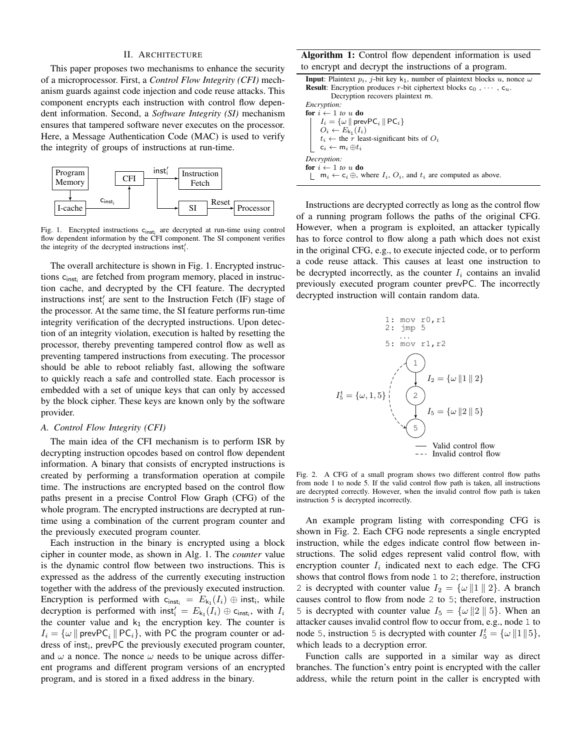### II. ARCHITECTURE

This paper proposes two mechanisms to enhance the security of a microprocessor. First, a *Control Flow Integrity (CFI)* mechanism guards against code injection and code reuse attacks. This component encrypts each instruction with control flow dependent information. Second, a *Software Integrity (SI)* mechanism ensures that tampered software never executes on the processor. Here, a Message Authentication Code (MAC) is used to verify the integrity of groups of instructions at run-time.



Fig. 1. Encrypted instructions  $c_{inst_i}$  are decrypted at run-time using control flow dependent information by the CFI component. The SI component verifies the integrity of the decrypted instructions  $inst'_i$ .

The overall architecture is shown in Fig. 1. Encrypted instructions c<sub>inst<sub>i</sub> are fetched from program memory, placed in instruc-</sub> tion cache, and decrypted by the CFI feature. The decrypted instructions inst<sup>'</sup><sub>i</sub> are sent to the Instruction Fetch (IF) stage of the processor. At the same time, the SI feature performs run-time integrity verification of the decrypted instructions. Upon detection of an integrity violation, execution is halted by resetting the processor, thereby preventing tampered control flow as well as preventing tampered instructions from executing. The processor should be able to reboot reliably fast, allowing the software to quickly reach a safe and controlled state. Each processor is embedded with a set of unique keys that can only by accessed by the block cipher. These keys are known only by the software provider.

## *A. Control Flow Integrity (CFI)*

The main idea of the CFI mechanism is to perform ISR by decrypting instruction opcodes based on control flow dependent information. A binary that consists of encrypted instructions is created by performing a transformation operation at compile time. The instructions are encrypted based on the control flow paths present in a precise Control Flow Graph (CFG) of the whole program. The encrypted instructions are decrypted at runtime using a combination of the current program counter and the previously executed program counter.

Each instruction in the binary is encrypted using a block cipher in counter mode, as shown in Alg. 1. The *counter* value is the dynamic control flow between two instructions. This is expressed as the address of the currently executing instruction together with the address of the previously executed instruction. Encryption is performed with  $c_{inst_i} = E_{k_1}(I_i) \oplus inst_i$ , while decryption is performed with  $\mathsf{inst}'_i = E_{k_1}(I_i) \oplus \mathsf{c}_{\mathsf{inst}_i}$ , with  $I_i$ the counter value and  $k_1$  the encryption key. The counter is  $I_i = \{\omega \mid \text{prevPC}_i \mid \text{PC}_i\},\$  with PC the program counter or address of inst<sub>i</sub>, prevPC the previously executed program counter, and  $\omega$  a nonce. The nonce  $\omega$  needs to be unique across different programs and different program versions of an encrypted program, and is stored in a fixed address in the binary.

# Algorithm 1: Control flow dependent information is used to encrypt and decrypt the instructions of a program.

| <b>Input:</b> Plaintext $p_i$ , <i>j</i> -bit key k <sub>1</sub> , number of plaintext blocks u, nonce $\omega$ |
|-----------------------------------------------------------------------------------------------------------------|
| <b>Result:</b> Encryption produces r-bit ciphertext blocks $c_0$ , , $c_u$ .                                    |
| Decryption recovers plaintext m.                                                                                |
| <i>Encryption:</i>                                                                                              |
| for $i \leftarrow 1$ to u do                                                                                    |
| $I_i = \{\omega \mid \text{prevPC}_i \mid \text{PC}_i\}$                                                        |
| $O_i \leftarrow E_{k_1}(I_i)$                                                                                   |
| $\vert t_i \leftarrow$ the r least-significant bits of $O_i$                                                    |
| $c_i \leftarrow m_i \oplus t_i$                                                                                 |
| Decryption:                                                                                                     |
| for $i \leftarrow 1$ to u do                                                                                    |
| $m_i \leftarrow c_i \oplus$ , where $I_i$ , $O_i$ , and $t_i$ are computed as above.                            |

Instructions are decrypted correctly as long as the control flow of a running program follows the paths of the original CFG. However, when a program is exploited, an attacker typically has to force control to flow along a path which does not exist in the original CFG, e.g., to execute injected code, or to perform a code reuse attack. This causes at least one instruction to be decrypted incorrectly, as the counter  $I_i$  contains an invalid previously executed program counter prevPC. The incorrectly decrypted instruction will contain random data.



Fig. 2. A CFG of a small program shows two different control flow paths from node 1 to node 5. If the valid control flow path is taken, all instructions are decrypted correctly. However, when the invalid control flow path is taken instruction 5 is decrypted incorrectly.

An example program listing with corresponding CFG is shown in Fig. 2. Each CFG node represents a single encrypted instruction, while the edges indicate control flow between instructions. The solid edges represent valid control flow, with encryption counter  $I_i$  indicated next to each edge. The CFG shows that control flows from node 1 to 2; therefore, instruction 2 is decrypted with counter value  $I_2 = \{\omega | 1 | 2\}$ . A branch causes control to flow from node 2 to 5; therefore, instruction 5 is decrypted with counter value  $I_5 = {\omega \| 2 \parallel 5}$ . When an attacker causes invalid control flow to occur from, e.g., node 1 to node 5, instruction 5 is decrypted with counter  $I_5^t = \{\omega \mid 1 \mid 5\},\$ which leads to a decryption error.

Function calls are supported in a similar way as direct branches. The function's entry point is encrypted with the caller address, while the return point in the caller is encrypted with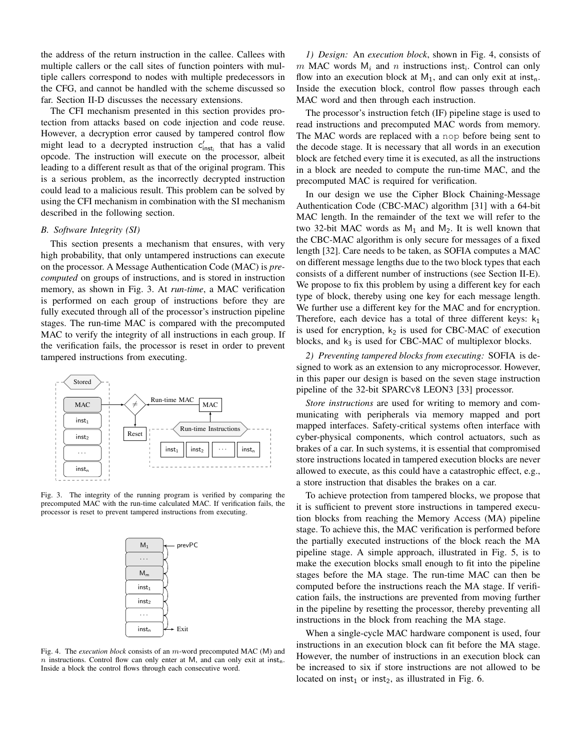the address of the return instruction in the callee. Callees with multiple callers or the call sites of function pointers with multiple callers correspond to nodes with multiple predecessors in the CFG, and cannot be handled with the scheme discussed so far. Section II-D discusses the necessary extensions.

The CFI mechanism presented in this section provides protection from attacks based on code injection and code reuse. However, a decryption error caused by tampered control flow might lead to a decrypted instruction  $c'_{inst_i}$  that has a valid opcode. The instruction will execute on the processor, albeit leading to a different result as that of the original program. This is a serious problem, as the incorrectly decrypted instruction could lead to a malicious result. This problem can be solved by using the CFI mechanism in combination with the SI mechanism described in the following section.

# *B. Software Integrity (SI)*

This section presents a mechanism that ensures, with very high probability, that only untampered instructions can execute on the processor. A Message Authentication Code (MAC) is *precomputed* on groups of instructions, and is stored in instruction memory, as shown in Fig. 3. At *run-time*, a MAC verification is performed on each group of instructions before they are fully executed through all of the processor's instruction pipeline stages. The run-time MAC is compared with the precomputed MAC to verify the integrity of all instructions in each group. If the verification fails, the processor is reset in order to prevent tampered instructions from executing.



Fig. 3. The integrity of the running program is verified by comparing the precomputed MAC with the run-time calculated MAC. If verification fails, the processor is reset to prevent tampered instructions from executing.



Fig. 4. The *execution block* consists of an m-word precomputed MAC (M) and  $n$  instructions. Control flow can only enter at M, and can only exit at inst<sub>n</sub>. Inside a block the control flows through each consecutive word.

*1) Design:* An *execution block*, shown in Fig. 4, consists of m MAC words  $M_i$  and n instructions inst<sub>i</sub>. Control can only flow into an execution block at  $M_1$ , and can only exit at inst<sub>n</sub>. Inside the execution block, control flow passes through each MAC word and then through each instruction.

The processor's instruction fetch (IF) pipeline stage is used to read instructions and precomputed MAC words from memory. The MAC words are replaced with a nop before being sent to the decode stage. It is necessary that all words in an execution block are fetched every time it is executed, as all the instructions in a block are needed to compute the run-time MAC, and the precomputed MAC is required for verification.

In our design we use the Cipher Block Chaining-Message Authentication Code (CBC-MAC) algorithm [31] with a 64-bit MAC length. In the remainder of the text we will refer to the two 32-bit MAC words as  $M_1$  and  $M_2$ . It is well known that the CBC-MAC algorithm is only secure for messages of a fixed length [32]. Care needs to be taken, as SOFIA computes a MAC on different message lengths due to the two block types that each consists of a different number of instructions (see Section II-E). We propose to fix this problem by using a different key for each type of block, thereby using one key for each message length. We further use a different key for the MAC and for encryption. Therefore, each device has a total of three different keys:  $k_1$ is used for encryption,  $k_2$  is used for CBC-MAC of execution blocks, and  $k_3$  is used for CBC-MAC of multiplexor blocks.

*2) Preventing tampered blocks from executing:* SOFIA is designed to work as an extension to any microprocessor. However, in this paper our design is based on the seven stage instruction pipeline of the 32-bit SPARCv8 LEON3 [33] processor.

*Store instructions* are used for writing to memory and communicating with peripherals via memory mapped and port mapped interfaces. Safety-critical systems often interface with cyber-physical components, which control actuators, such as brakes of a car. In such systems, it is essential that compromised store instructions located in tampered execution blocks are never allowed to execute, as this could have a catastrophic effect, e.g., a store instruction that disables the brakes on a car.

To achieve protection from tampered blocks, we propose that it is sufficient to prevent store instructions in tampered execution blocks from reaching the Memory Access (MA) pipeline stage. To achieve this, the MAC verification is performed before the partially executed instructions of the block reach the MA pipeline stage. A simple approach, illustrated in Fig. 5, is to make the execution blocks small enough to fit into the pipeline stages before the MA stage. The run-time MAC can then be computed before the instructions reach the MA stage. If verification fails, the instructions are prevented from moving further in the pipeline by resetting the processor, thereby preventing all instructions in the block from reaching the MA stage.

When a single-cycle MAC hardware component is used, four instructions in an execution block can fit before the MA stage. However, the number of instructions in an execution block can be increased to six if store instructions are not allowed to be located on inst<sub>1</sub> or inst<sub>2</sub>, as illustrated in Fig. 6.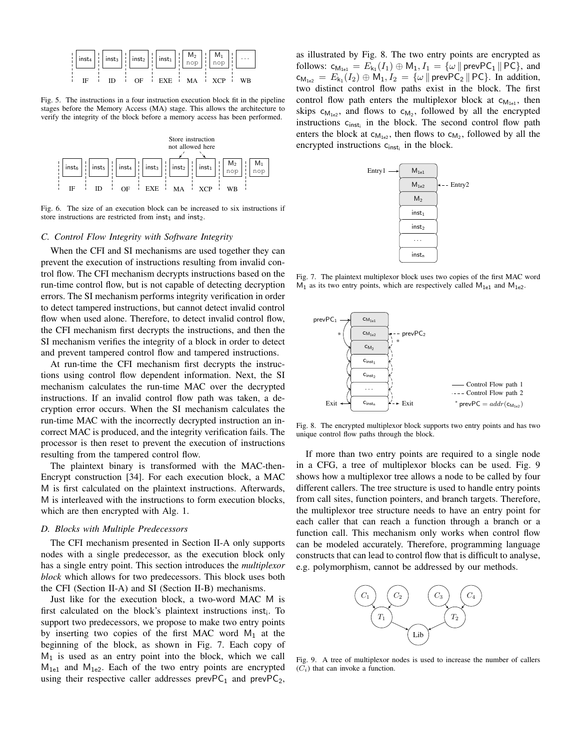

Fig. 5. The instructions in a four instruction execution block fit in the pipeline stages before the Memory Access (MA) stage. This allows the architecture to verify the integrity of the block before a memory access has been performed.



Fig. 6. The size of an execution block can be increased to six instructions if store instructions are restricted from  $inst<sub>1</sub>$  and  $inst<sub>2</sub>$ .

## *C. Control Flow Integrity with Software Integrity*

When the CFI and SI mechanisms are used together they can prevent the execution of instructions resulting from invalid control flow. The CFI mechanism decrypts instructions based on the run-time control flow, but is not capable of detecting decryption errors. The SI mechanism performs integrity verification in order to detect tampered instructions, but cannot detect invalid control flow when used alone. Therefore, to detect invalid control flow, the CFI mechanism first decrypts the instructions, and then the SI mechanism verifies the integrity of a block in order to detect and prevent tampered control flow and tampered instructions.

At run-time the CFI mechanism first decrypts the instructions using control flow dependent information. Next, the SI mechanism calculates the run-time MAC over the decrypted instructions. If an invalid control flow path was taken, a decryption error occurs. When the SI mechanism calculates the run-time MAC with the incorrectly decrypted instruction an incorrect MAC is produced, and the integrity verification fails. The processor is then reset to prevent the execution of instructions resulting from the tampered control flow.

The plaintext binary is transformed with the MAC-then-Encrypt construction [34]. For each execution block, a MAC M is first calculated on the plaintext instructions. Afterwards, M is interleaved with the instructions to form execution blocks, which are then encrypted with Alg. 1.

## *D. Blocks with Multiple Predecessors*

The CFI mechanism presented in Section II-A only supports nodes with a single predecessor, as the execution block only has a single entry point. This section introduces the *multiplexor block* which allows for two predecessors. This block uses both the CFI (Section II-A) and SI (Section II-B) mechanisms.

Just like for the execution block, a two-word MAC M is first calculated on the block's plaintext instructions inst<sub>i</sub>. To support two predecessors, we propose to make two entry points by inserting two copies of the first MAC word  $M_1$  at the beginning of the block, as shown in Fig. 7. Each copy of  $M<sub>1</sub>$  is used as an entry point into the block, which we call  $M_{1e1}$  and  $M_{1e2}$ . Each of the two entry points are encrypted using their respective caller addresses prevPC<sub>1</sub> and prevPC<sub>2</sub>,

as illustrated by Fig. 8. The two entry points are encrypted as follows:  $c_{M_{1e1}} = E_{k_1}(I_1) \oplus M_1$ ,  $I_1 = \{\omega \mid \text{prevPC}_1 \mid \text{PC}\}$ , and  $c_{M_{1e2}} = E_{k_1}(I_2) \oplus M_1, I_2 = \{\omega \mid \text{prevPC}_2 \mid \text{PC}\}.$  In addition, two distinct control flow paths exist in the block. The first control flow path enters the multiplexor block at  $c_{M_{1e1}}$ , then skips  $c_{M_{1e2}}$ , and flows to  $c_{M_2}$ , followed by all the encrypted instructions  $c_{inst_i}$  in the block. The second control flow path enters the block at  $c_{M_{1e2}}$ , then flows to  $c_{M_2}$ , followed by all the encrypted instructions  $c_{inst_i}$  in the block.



Fig. 7. The plaintext multiplexor block uses two copies of the first MAC word  $M_1$  as its two entry points, which are respectively called  $M_{1e1}$  and  $M_{1e2}$ .



Fig. 8. The encrypted multiplexor block supports two entry points and has two unique control flow paths through the block.

If more than two entry points are required to a single node in a CFG, a tree of multiplexor blocks can be used. Fig. 9 shows how a multiplexor tree allows a node to be called by four different callers. The tree structure is used to handle entry points from call sites, function pointers, and branch targets. Therefore, the multiplexor tree structure needs to have an entry point for each caller that can reach a function through a branch or a function call. This mechanism only works when control flow can be modeled accurately. Therefore, programming language constructs that can lead to control flow that is difficult to analyse, e.g. polymorphism, cannot be addressed by our methods.



Fig. 9. A tree of multiplexor nodes is used to increase the number of callers  $(C_i)$  that can invoke a function.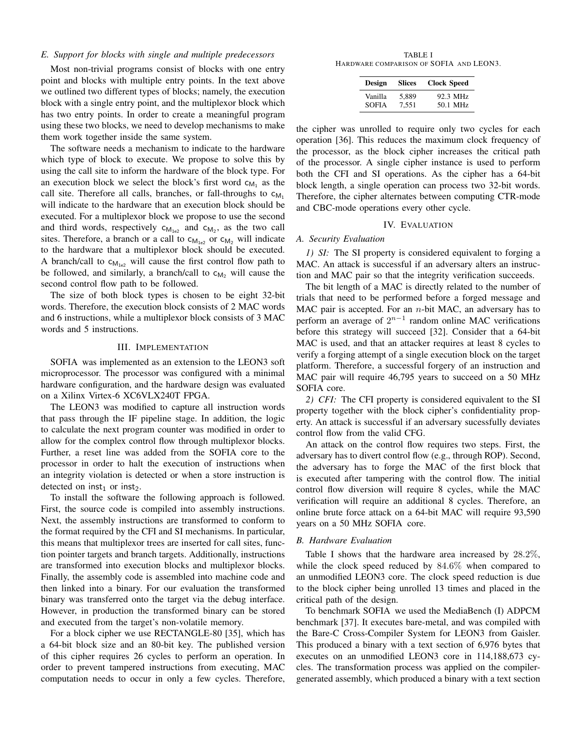## *E. Support for blocks with single and multiple predecessors*

Most non-trivial programs consist of blocks with one entry point and blocks with multiple entry points. In the text above we outlined two different types of blocks; namely, the execution block with a single entry point, and the multiplexor block which has two entry points. In order to create a meaningful program using these two blocks, we need to develop mechanisms to make them work together inside the same system.

The software needs a mechanism to indicate to the hardware which type of block to execute. We propose to solve this by using the call site to inform the hardware of the block type. For an execution block we select the block's first word  $c_{M_1}$  as the call site. Therefore all calls, branches, or fall-throughs to  $c_{M_1}$ will indicate to the hardware that an execution block should be executed. For a multiplexor block we propose to use the second and third words, respectively  $c_{M_{1e2}}$  and  $c_{M_2}$ , as the two call sites. Therefore, a branch or a call to  $c_{M_{1e}}$  or  $c_{M_2}$  will indicate to the hardware that a multiplexor block should be executed. A branch/call to  $c_{M_{1e2}}$  will cause the first control flow path to be followed, and similarly, a branch/call to  $c_{M_2}$  will cause the second control flow path to be followed.

The size of both block types is chosen to be eight 32-bit words. Therefore, the execution block consists of 2 MAC words and 6 instructions, while a multiplexor block consists of 3 MAC words and 5 instructions.

## III. IMPLEMENTATION

SOFIA was implemented as an extension to the LEON3 soft microprocessor. The processor was configured with a minimal hardware configuration, and the hardware design was evaluated on a Xilinx Virtex-6 XC6VLX240T FPGA.

The LEON3 was modified to capture all instruction words that pass through the IF pipeline stage. In addition, the logic to calculate the next program counter was modified in order to allow for the complex control flow through multiplexor blocks. Further, a reset line was added from the SOFIA core to the processor in order to halt the execution of instructions when an integrity violation is detected or when a store instruction is detected on inst<sub>1</sub> or inst<sub>2</sub>.

To install the software the following approach is followed. First, the source code is compiled into assembly instructions. Next, the assembly instructions are transformed to conform to the format required by the CFI and SI mechanisms. In particular, this means that multiplexor trees are inserted for call sites, function pointer targets and branch targets. Additionally, instructions are transformed into execution blocks and multiplexor blocks. Finally, the assembly code is assembled into machine code and then linked into a binary. For our evaluation the transformed binary was transferred onto the target via the debug interface. However, in production the transformed binary can be stored and executed from the target's non-volatile memory.

For a block cipher we use RECTANGLE-80 [35], which has a 64-bit block size and an 80-bit key. The published version of this cipher requires 26 cycles to perform an operation. In order to prevent tampered instructions from executing, MAC computation needs to occur in only a few cycles. Therefore,

TABLE I HARDWARE COMPARISON OF SOFIA AND LEON3.

| Design       | <b>Slices</b> | <b>Clock Speed</b> |
|--------------|---------------|--------------------|
| Vanilla      | 5.889         | 92.3 MHz           |
| <b>SOFIA</b> | 7.551         | 50.1 MHz           |

the cipher was unrolled to require only two cycles for each operation [36]. This reduces the maximum clock frequency of the processor, as the block cipher increases the critical path of the processor. A single cipher instance is used to perform both the CFI and SI operations. As the cipher has a 64-bit block length, a single operation can process two 32-bit words. Therefore, the cipher alternates between computing CTR-mode and CBC-mode operations every other cycle.

## IV. EVALUATION

#### *A. Security Evaluation*

*1) SI:* The SI property is considered equivalent to forging a MAC. An attack is successful if an adversary alters an instruction and MAC pair so that the integrity verification succeeds.

The bit length of a MAC is directly related to the number of trials that need to be performed before a forged message and MAC pair is accepted. For an  $n$ -bit MAC, an adversary has to perform an average of  $2^{n-1}$  random online MAC verifications before this strategy will succeed [32]. Consider that a 64-bit MAC is used, and that an attacker requires at least 8 cycles to verify a forging attempt of a single execution block on the target platform. Therefore, a successful forgery of an instruction and MAC pair will require 46,795 years to succeed on a 50 MHz SOFIA core.

*2) CFI:* The CFI property is considered equivalent to the SI property together with the block cipher's confidentiality property. An attack is successful if an adversary sucessfully deviates control flow from the valid CFG.

An attack on the control flow requires two steps. First, the adversary has to divert control flow (e.g., through ROP). Second, the adversary has to forge the MAC of the first block that is executed after tampering with the control flow. The initial control flow diversion will require 8 cycles, while the MAC verification will require an additional 8 cycles. Therefore, an online brute force attack on a 64-bit MAC will require 93,590 years on a 50 MHz SOFIA core.

#### *B. Hardware Evaluation*

Table I shows that the hardware area increased by 28.2%, while the clock speed reduced by 84.6% when compared to an unmodified LEON3 core. The clock speed reduction is due to the block cipher being unrolled 13 times and placed in the critical path of the design.

To benchmark SOFIA we used the MediaBench (I) ADPCM benchmark [37]. It executes bare-metal, and was compiled with the Bare-C Cross-Compiler System for LEON3 from Gaisler. This produced a binary with a text section of 6,976 bytes that executes on an unmodified LEON3 core in 114,188,673 cycles. The transformation process was applied on the compilergenerated assembly, which produced a binary with a text section